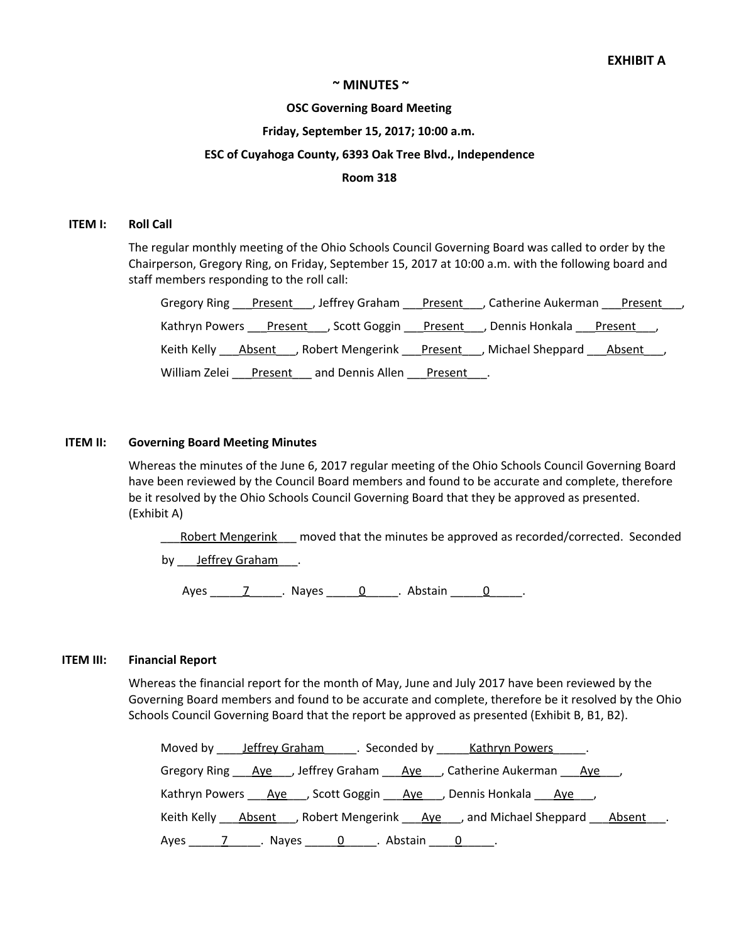## **~ MINUTES ~**

### **OSC Governing Board Meeting**

### **Friday, September 15, 2017; 10:00 a.m.**

## **ESC of Cuyahoga County, 6393 Oak Tree Blvd., Independence**

### **Room 318**

### **ITEM I: Roll Call**

The regular monthly meeting of the Ohio Schools Council Governing Board was called to order by the Chairperson, Gregory Ring, on Friday, September 15, 2017 at 10:00 a.m. with the following board and staff members responding to the roll call:

| Gregory Ring Present Jeffrey Graham Present JCatherine Aukerman Present J  |  |
|----------------------------------------------------------------------------|--|
| Kathryn Powers Present , Scott Goggin Present , Dennis Honkala Present     |  |
| Keith Kelly Absent _, Robert Mengerink Present , Michael Sheppard Absent , |  |
| William Zelei<br>and Dennis Allen <u>Present</u> Present<br><u>Present</u> |  |

### **ITEM II: Governing Board Meeting Minutes**

Whereas the minutes of the June 6, 2017 regular meeting of the Ohio Schools Council Governing Board have been reviewed by the Council Board members and found to be accurate and complete, therefore be it resolved by the Ohio Schools Council Governing Board that they be approved as presented. (Exhibit A)

Robert Mengerink \_\_\_ moved that the minutes be approved as recorded/corrected. Seconded

by <u>Jeffrey Graham</u>.

Ayes \_\_\_\_\_7\_\_\_\_\_. Nayes \_\_\_\_\_0\_\_\_\_\_. Abstain \_\_\_\_\_0\_\_\_\_\_.

## **ITEM III: Financial Report**

Whereas the financial report for the month of May, June and July 2017 have been reviewed by the Governing Board members and found to be accurate and complete, therefore be it resolved by the Ohio Schools Council Governing Board that the report be approved as presented (Exhibit B, B1, B2).

| Moved by Jeffrey Graham Seconded by Kathryn Powers .                      |
|---------------------------------------------------------------------------|
| Gregory Ring Aye , Jeffrey Graham Aye , Catherine Aukerman Aye            |
| Kathryn Powers Ave Scott Goggin Ave , Dennis Honkala Ave                  |
| Keith Kelly Absent , Robert Mengerink Ave , and Michael Sheppard Absent . |
|                                                                           |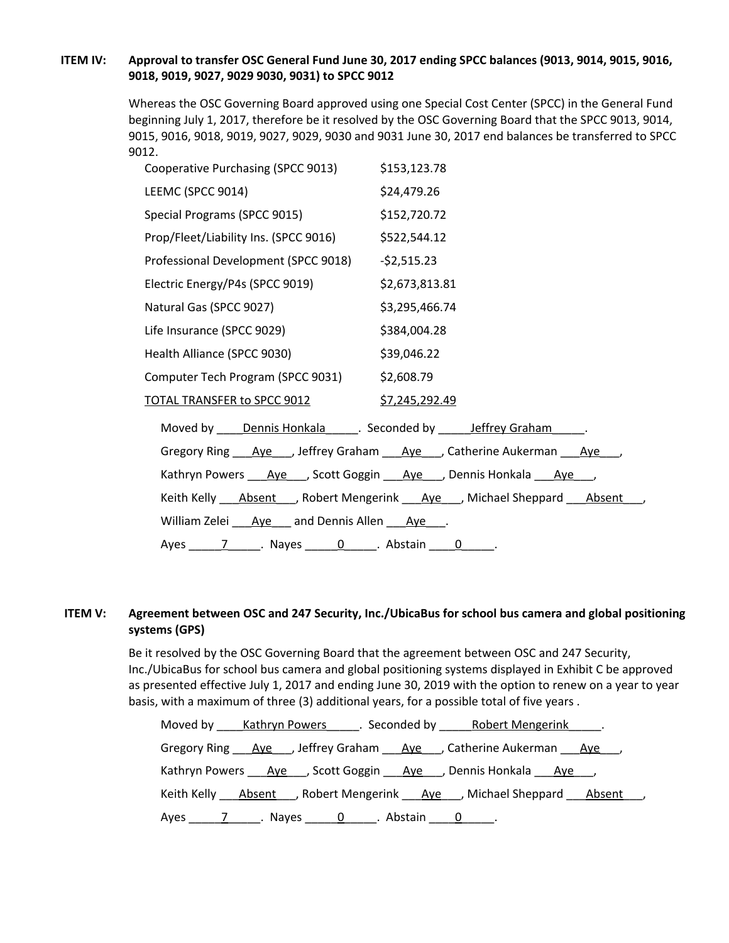# ITEM IV: Approval to transfer OSC General Fund June 30, 2017 ending SPCC balances (9013, 9014, 9015, 9016, **9018, 9019, 9027, 9029 9030, 9031) to SPCC 9012**

Whereas the OSC Governing Board approved using one Special Cost Center (SPCC) in the General Fund beginning July 1, 2017, therefore be it resolved by the OSC Governing Board that the SPCC 9013, 9014, 9015, 9016, 9018, 9019, 9027, 9029, 9030 and 9031 June 30, 2017 end balances be transferred to SPCC 9012.

| Cooperative Purchasing (SPCC 9013)                           | \$153,123.78                                                                                     |
|--------------------------------------------------------------|--------------------------------------------------------------------------------------------------|
| LEEMC (SPCC 9014)                                            | \$24,479.26                                                                                      |
| Special Programs (SPCC 9015)                                 | \$152,720.72                                                                                     |
| Prop/Fleet/Liability Ins. (SPCC 9016) \$522,544.12           |                                                                                                  |
| Professional Development (SPCC 9018) - \$2,515.23            |                                                                                                  |
| Electric Energy/P4s (SPCC 9019)                              | \$2,673,813.81                                                                                   |
| Natural Gas (SPCC 9027)                                      | \$3,295,466.74                                                                                   |
| Life Insurance (SPCC 9029)                                   | \$384,004.28                                                                                     |
| Health Alliance (SPCC 9030)                                  | \$39,046.22                                                                                      |
| Computer Tech Program (SPCC 9031) \$2,608.79                 |                                                                                                  |
| <u>TOTAL TRANSFER to SPCC 9012</u> \$7,245,292.49            |                                                                                                  |
| Moved by <u>Dennis Honkala</u> Seconded by Jeffrey Graham D. |                                                                                                  |
|                                                              | Gregory Ring <u>Aye</u> Jeffrey Graham <u>Aye</u> Catherine Aukerman Aye                         |
|                                                              | Kathryn Powers ____ Aye____, Scott Goggin ____ Aye____, Dennis Honkala ____ Aye____,             |
|                                                              | Keith Kelly ____ Absent ____, Robert Mengerink ____ Aye ____, Michael Sheppard ____ Absent ____, |
| William Zelei Aye and Dennis Allen Aye .                     |                                                                                                  |
|                                                              |                                                                                                  |
|                                                              |                                                                                                  |

# **ITEM V: Agreement between OSC and 247 Security, Inc./UbicaBus for school bus camera and global positioning systems (GPS)**

Be it resolved by the OSC Governing Board that the agreement between OSC and 247 Security, Inc./UbicaBus for school bus camera and global positioning systems displayed in Exhibit C be approved as presented effective July 1, 2017 and ending June 30, 2019 with the option to renew on a year to year basis, with a maximum of three (3) additional years, for a possible total of five years .

| Moved by Kathryn Powers Seconded by Robert Mengerink Fig.                         |
|-----------------------------------------------------------------------------------|
| Gregory Ring Ave , Jeffrey Graham Ave , Catherine Aukerman Ave ,                  |
| Kathryn Powers ___ Aye____, Scott Goggin ___ Aye____, Dennis Honkala ___ Aye____, |
| Keith Kelly <u>Absent</u> , Robert Mengerink Aye , Michael Sheppard Absent ,      |
|                                                                                   |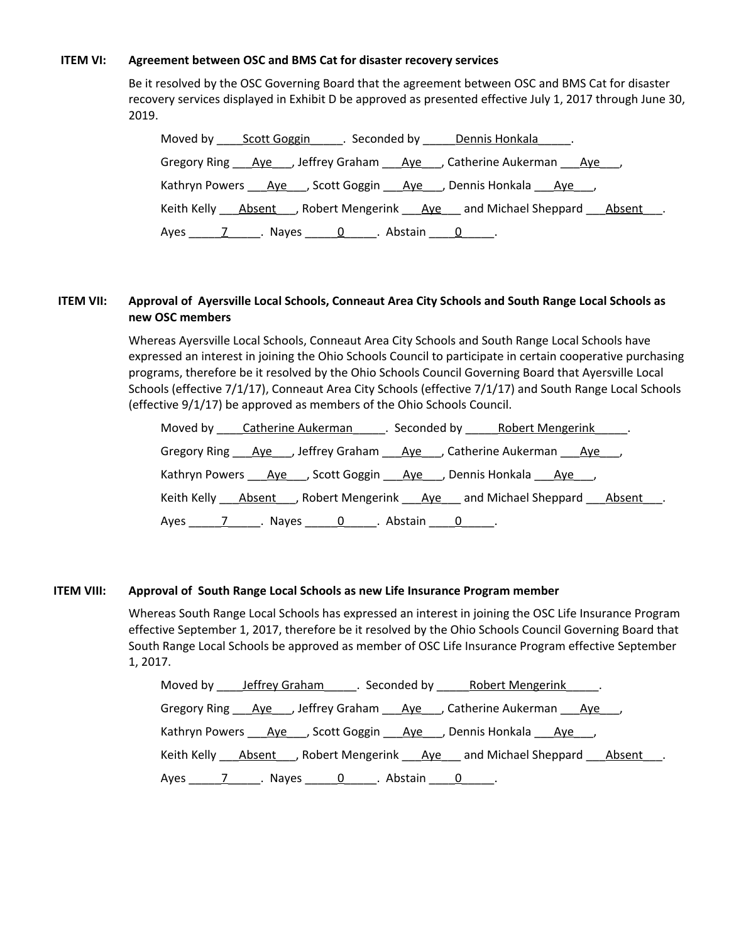### **ITEM VI: Agreement between OSC and BMS Cat for disaster recovery services**

Be it resolved by the OSC Governing Board that the agreement between OSC and BMS Cat for disaster recovery services displayed in Exhibit D be approved as presented effective July 1, 2017 through June 30, 2019.

| Moved by Scott Goggin Seconded by Dennis Honkala .                             |
|--------------------------------------------------------------------------------|
| Gregory Ring Aye , Jeffrey Graham Aye , Catherine Aukerman Aye                 |
| Kathryn Powers Ave , Scott Goggin Ave , Dennis Honkala Ave ,                   |
| Keith Kelly <b>Absent</b> , Robert Mengerink Aye and Michael Sheppard Absent . |
| Ayes 7 Nayes 0. Abstain 0.                                                     |

## ITEM VII: Approval of Ayersville Local Schools, Conneaut Area City Schools and South Range Local Schools as **new OSC members**

Whereas Ayersville Local Schools, Conneaut Area City Schools and South Range Local Schools have expressed an interest in joining the Ohio Schools Council to participate in certain cooperative purchasing programs, therefore be it resolved by the Ohio Schools Council Governing Board that Ayersville Local Schools (effective 7/1/17), Conneaut Area City Schools (effective 7/1/17) and South Range Local Schools (effective 9/1/17) be approved as members of the Ohio Schools Council.

| Moved by Catherine Aukerman Execonded by Robert Mengerink Fig.         |
|------------------------------------------------------------------------|
| Gregory Ring Aye , Jeffrey Graham Aye , Catherine Aukerman Aye ,       |
| Kathryn Powers Ave , Scott Goggin Ave , Dennis Honkala Ave             |
| Keith Kelly Absent , Robert Mengerink Aye and Michael Sheppard Absent. |
|                                                                        |

## **ITEM VIII: Approval of South Range Local Schools as new Life Insurance Program member**

Whereas South Range Local Schools has expressed an interest in joining the OSC Life Insurance Program effective September 1, 2017, therefore be it resolved by the Ohio Schools Council Governing Board that South Range Local Schools be approved as member of OSC Life Insurance Program effective September 1, 2017.

| Moved by leffrey Graham Seconded by Robert Mengerink Reflex            |
|------------------------------------------------------------------------|
| Gregory Ring Ave , Jeffrey Graham Ave , Catherine Aukerman Ave         |
| Kathryn Powers Ave , Scott Goggin Ave , Dennis Honkala Ave ,           |
| Keith Kelly Absent , Robert Mengerink Ave and Michael Sheppard Absent. |
|                                                                        |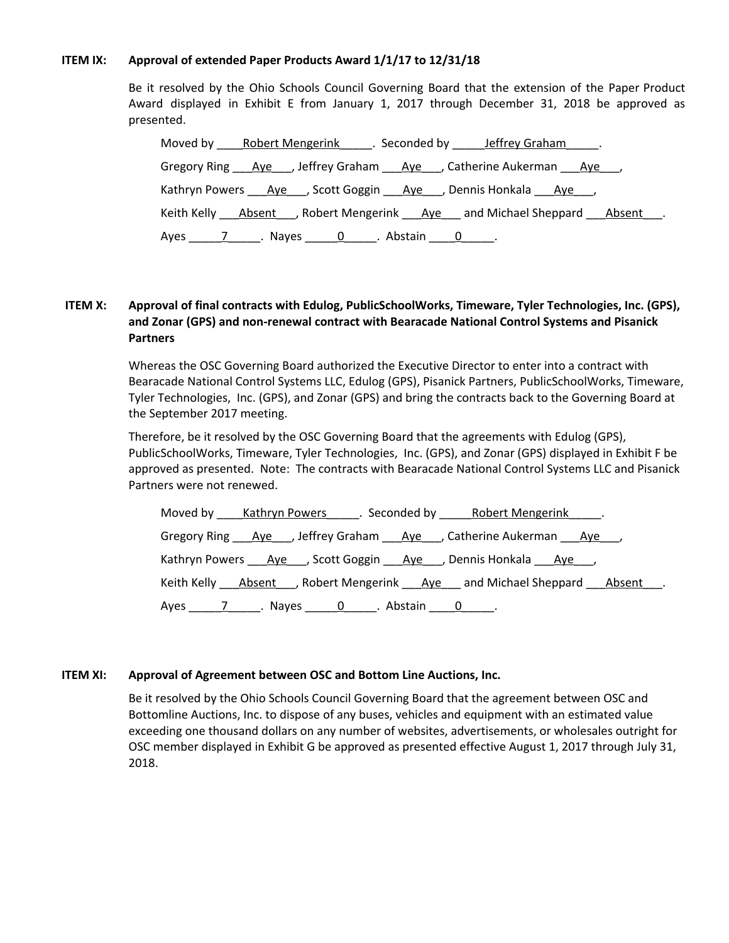## **ITEM IX: Approval of extended Paper Products Award 1/1/17 to 12/31/18**

Be it resolved by the Ohio Schools Council Governing Board that the extension of the Paper Product Award displayed in Exhibit E from January 1, 2017 through December 31, 2018 be approved as presented.

| Moved by Robert Mengerink Seconded by Jeffrey Graham .                 |
|------------------------------------------------------------------------|
| Gregory Ring Aye , Jeffrey Graham Aye , Catherine Aukerman Aye         |
| Kathryn Powers Aye , Scott Goggin Aye , Dennis Honkala Aye ,           |
| Keith Kelly Absent , Robert Mengerink Aye and Michael Sheppard Absent. |
|                                                                        |

# **ITEM X: Approval of final contracts with Edulog, PublicSchoolWorks, Timeware, Tyler Technologies, Inc. (GPS), and Zonar (GPS) and non-renewal contract with Bearacade National Control Systems and Pisanick Partners**

Whereas the OSC Governing Board authorized the Executive Director to enter into a contract with Bearacade National Control Systems LLC, Edulog (GPS), Pisanick Partners, PublicSchoolWorks, Timeware, Tyler Technologies, Inc. (GPS), and Zonar (GPS) and bring the contracts back to the Governing Board at the September 2017 meeting.

Therefore, be it resolved by the OSC Governing Board that the agreements with Edulog (GPS), PublicSchoolWorks, Timeware, Tyler Technologies, Inc. (GPS), and Zonar (GPS) displayed in Exhibit F be approved as presented. Note: The contracts with Bearacade National Control Systems LLC and Pisanick Partners were not renewed.

| Moved by Kathryn Powers Seconded by Robert Mengerink Robert            |
|------------------------------------------------------------------------|
| Gregory Ring Aye , Jeffrey Graham Aye , Catherine Aukerman Aye         |
| Kathryn Powers Ave , Scott Goggin Ave , Dennis Honkala Ave ,           |
| Keith Kelly Absent , Robert Mengerink Ave and Michael Sheppard Absent. |
|                                                                        |

## **ITEM XI: Approval of Agreement between OSC and Bottom Line Auctions, Inc.**

Be it resolved by the Ohio Schools Council Governing Board that the agreement between OSC and Bottomline Auctions, Inc. to dispose of any buses, vehicles and equipment with an estimated value exceeding one thousand dollars on any number of websites, advertisements, or wholesales outright for OSC member displayed in Exhibit G be approved as presented effective August 1, 2017 through July 31, 2018.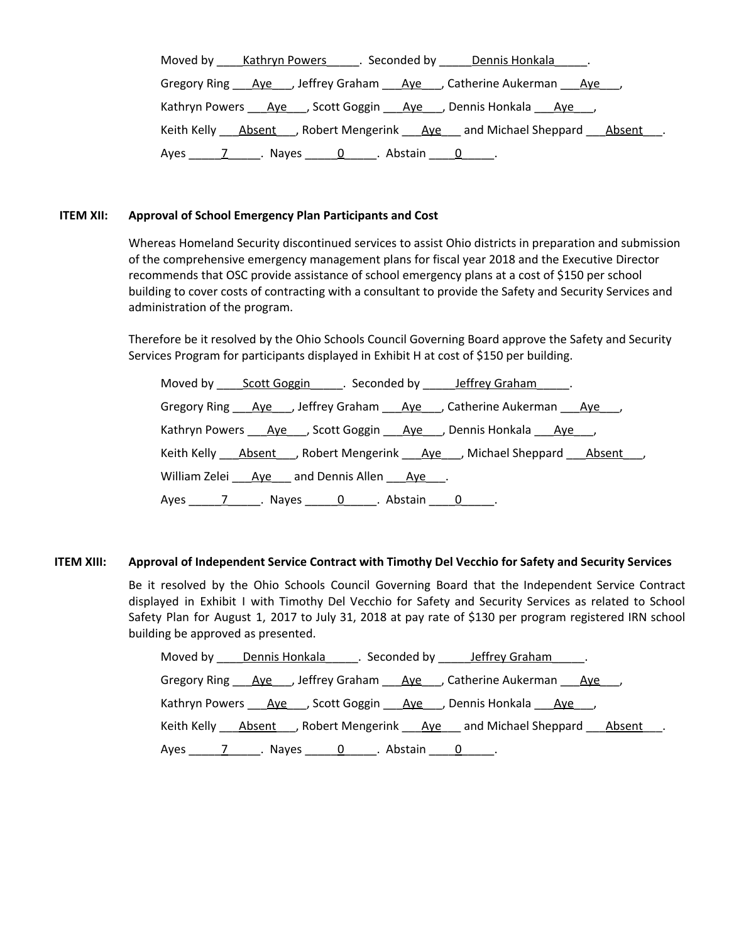| Moved by Kathryn Powers Seconded by Dennis Honkala                              |
|---------------------------------------------------------------------------------|
| Gregory Ring Aye , Jeffrey Graham Aye , Catherine Aukerman Aye                  |
| Kathryn Powers Ave , Scott Goggin Ave , Dennis Honkala Ave ,                    |
| Keith Kelly Absent , Robert Mengerink Ave and Michael Sheppard Absent .         |
| Ayes 7 ___________. Nayes <u>______0</u> ______. Abstain _____ <u>0</u> ______. |

### **ITEM XII: Approval of School Emergency Plan Participants and Cost**

Whereas Homeland Security discontinued services to assist Ohio districts in preparation and submission of the comprehensive emergency management plans for fiscal year 2018 and the Executive Director recommends that OSC provide assistance of school emergency plans at a cost of \$150 per school building to cover costs of contracting with a consultant to provide the Safety and Security Services and administration of the program.

Therefore be it resolved by the Ohio Schools Council Governing Board approve the Safety and Security Services Program for participants displayed in Exhibit H at cost of \$150 per building.

|                                                                             | Moved by _____ Scott Goggin_______. Seconded by _______ Jeffrey Graham_______. |  |
|-----------------------------------------------------------------------------|--------------------------------------------------------------------------------|--|
|                                                                             | Gregory Ring Aye , Jeffrey Graham Aye , Catherine Aukerman Aye                 |  |
|                                                                             | Kathryn Powers Aye , Scott Goggin Aye , Dennis Honkala Aye ,                   |  |
|                                                                             | Keith Kelly Absent , Robert Mengerink Ave , Michael Sheppard Absent ,          |  |
| William Zelei Aye and Dennis Allen Aye.                                     |                                                                                |  |
| Ayes 7 ___________. Nayes 1 _______ 0 _______. Abstain 1 ________0 _______. |                                                                                |  |

## **ITEM XIII: Approval of Independent Service Contract with Timothy Del Vecchio for Safety and Security Services**

Be it resolved by the Ohio Schools Council Governing Board that the Independent Service Contract displayed in Exhibit I with Timothy Del Vecchio for Safety and Security Services as related to School Safety Plan for August 1, 2017 to July 31, 2018 at pay rate of \$130 per program registered IRN school building be approved as presented.

| Moved by Dennis Honkala . Seconded by Jeffrey Graham .                 |
|------------------------------------------------------------------------|
| Gregory Ring Aye , Jeffrey Graham Aye , Catherine Aukerman Aye         |
| Kathryn Powers Ave , Scott Goggin Ave , Dennis Honkala Ave ,           |
| Keith Kelly Absent , Robert Mengerink Aye and Michael Sheppard Absent. |
| Ayes 7 Nayes 0. Abstain 0.                                             |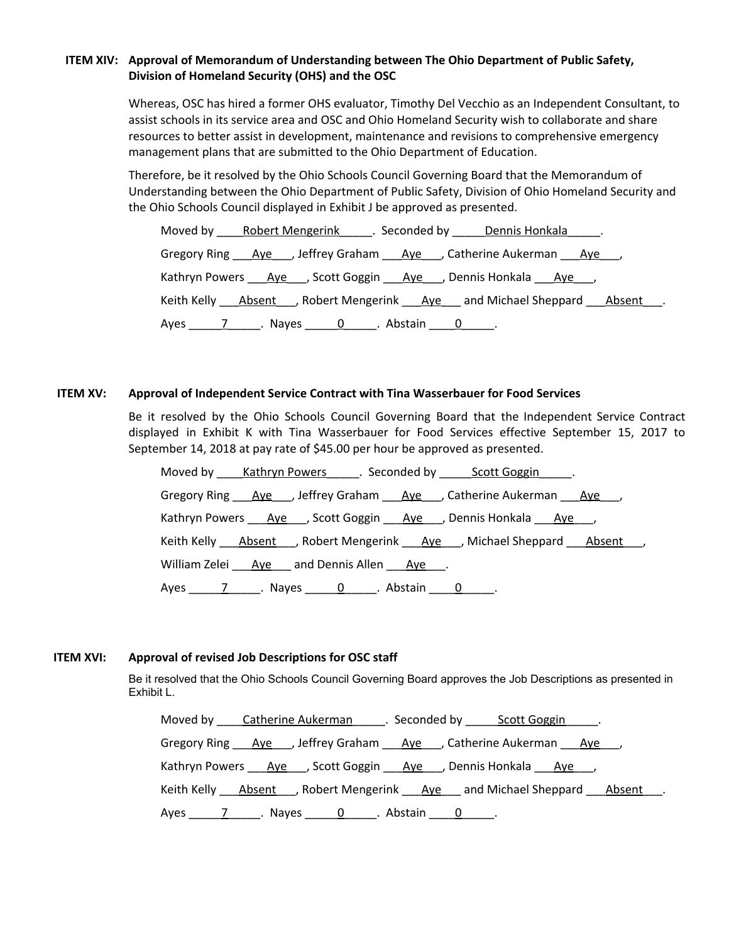# **ITEM XIV: Approval of Memorandum of Understanding between The Ohio Department of Public Safety, Division of Homeland Security (OHS) and the OSC**

Whereas, OSC has hired a former OHS evaluator, Timothy Del Vecchio as an Independent Consultant, to assist schools in its service area and OSC and Ohio Homeland Security wish to collaborate and share resources to better assist in development, maintenance and revisions to comprehensive emergency management plans that are submitted to the Ohio Department of Education.

Therefore, be it resolved by the Ohio Schools Council Governing Board that the Memorandum of Understanding between the Ohio Department of Public Safety, Division of Ohio Homeland Security and the Ohio Schools Council displayed in Exhibit J be approved as presented.

| Moved by Robert Mengerink Seconded by Dennis Honkala .                 |  |  |  |  |  |  |  |
|------------------------------------------------------------------------|--|--|--|--|--|--|--|
| Gregory Ring Aye , Jeffrey Graham Aye , Catherine Aukerman Aye         |  |  |  |  |  |  |  |
| Kathryn Powers Aye , Scott Goggin Aye , Dennis Honkala Aye ,           |  |  |  |  |  |  |  |
| Keith Kelly Absent , Robert Mengerink Aye and Michael Sheppard Absent. |  |  |  |  |  |  |  |
|                                                                        |  |  |  |  |  |  |  |

## **ITEM XV: Approval of Independent Service Contract with Tina Wasserbauer for Food Services**

Be it resolved by the Ohio Schools Council Governing Board that the Independent Service Contract displayed in Exhibit K with Tina Wasserbauer for Food Services effective September 15, 2017 to September 14, 2018 at pay rate of \$45.00 per hour be approved as presented.

| Moved by Kathryn Powers Seconded by Scott Goggin Formulation          |  |  |  |  |  |
|-----------------------------------------------------------------------|--|--|--|--|--|
| Gregory Ring <u>Aye</u> Jeffrey Graham Aye Jum and Nukerman Aye Jum   |  |  |  |  |  |
| Kathryn Powers Ave , Scott Goggin Ave , Dennis Honkala Ave ,          |  |  |  |  |  |
| Keith Kelly Absent , Robert Mengerink Ave , Michael Sheppard Absent , |  |  |  |  |  |
| William Zelei Aye and Dennis Allen Aye.                               |  |  |  |  |  |
| Ayes 7 Nayes 0. Abstain 0.                                            |  |  |  |  |  |

## **ITEM XVI: Approval of revised Job Descriptions for OSC staff**

Be it resolved that the Ohio Schools Council Governing Board approves the Job Descriptions as presented in Exhibit L.

Moved by \_\_\_\_Catherine Aukerman\_\_\_\_\_\_. Seconded by \_\_\_\_\_Scott Goggin\_\_\_\_\_. Gregory Ring Ave , Jeffrey Graham Ave , Catherine Aukerman Ave Kathryn Powers Aye , Scott Goggin Aye , Dennis Honkala Aye, Keith Kelly **Absent** , Robert Mengerink Aye and Michael Sheppard Absent . Ayes  $\overline{Z}$  Nayes  $\overline{Q}$  Abstain  $\overline{Q}$  .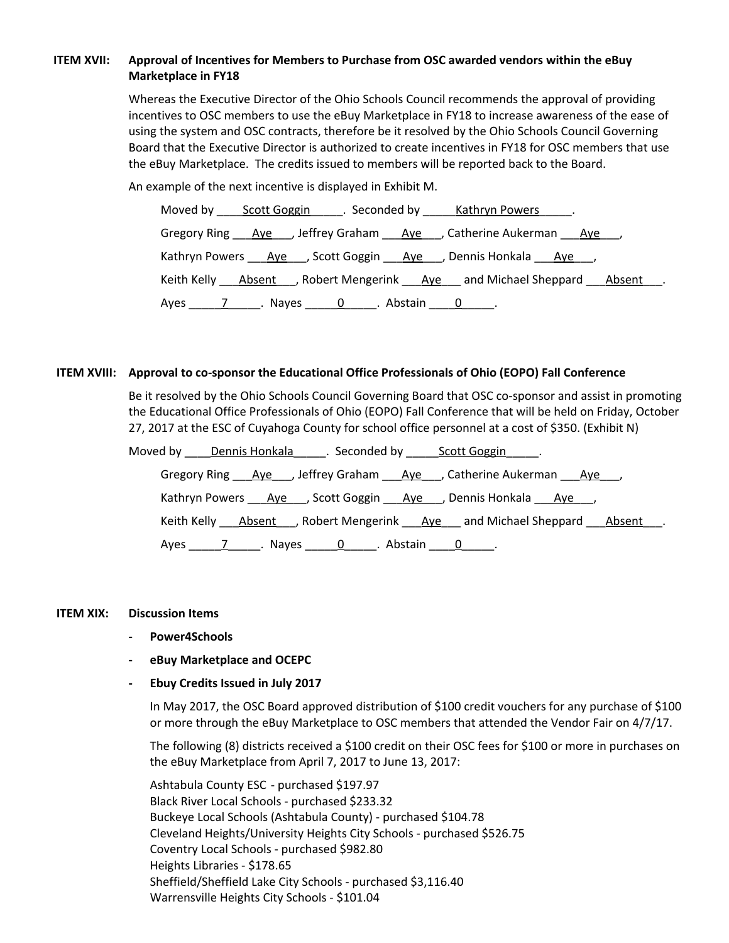# **ITEM XVII: Approval of Incentives for Members to Purchase from OSC awarded vendors within the eBuy Marketplace in FY18**

Whereas the Executive Director of the Ohio Schools Council recommends the approval of providing incentives to OSC members to use the eBuy Marketplace in FY18 to increase awareness of the ease of using the system and OSC contracts, therefore be it resolved by the Ohio Schools Council Governing Board that the Executive Director is authorized to create incentives in FY18 for OSC members that use the eBuy Marketplace. The credits issued to members will be reported back to the Board.

An example of the next incentive is displayed in Exhibit M.

| Moved by Scott Goggin Seconded by Kathryn Powers .                     |  |  |  |  |  |  |
|------------------------------------------------------------------------|--|--|--|--|--|--|
| Gregory Ring Aye , Jeffrey Graham Aye , Catherine Aukerman Aye         |  |  |  |  |  |  |
| Kathryn Powers Ave , Scott Goggin Ave , Dennis Honkala Ave ,           |  |  |  |  |  |  |
| Keith Kelly Absent , Robert Mengerink Ave and Michael Sheppard Absent. |  |  |  |  |  |  |
| Ayes ________________. Nayes ________0_______. Abstain ______0_______. |  |  |  |  |  |  |

## **ITEM XVIII: Approval to co-sponsor the Educational Office Professionals of Ohio (EOPO) Fall Conference**

Be it resolved by the Ohio Schools Council Governing Board that OSC co-sponsor and assist in promoting the Educational Office Professionals of Ohio (EOPO) Fall Conference that will be held on Friday, October 27, 2017 at the ESC of Cuyahoga County for school office personnel at a cost of \$350. (Exhibit N)

| Moved by Dennis Honkala Franconded by Scott Goggin Franconded by                                               |  |  |  |
|----------------------------------------------------------------------------------------------------------------|--|--|--|
| Gregory Ring Aye, Jeffrey Graham Aye, Catherine Aukerman Aye,                                                  |  |  |  |
| Kathryn Powers Ave , Scott Goggin Ave , Dennis Honkala Ave ,                                                   |  |  |  |
| Keith Kelly Absent , Robert Mengerink Aye and Michael Sheppard Absent .                                        |  |  |  |
| Ayes 11.1 Ayes 1.1 Ayes 2.1 Abstain 2.1 Ayes 2.1 Ayes 2.1 Ayes 2.1 Ayes 2.1 Ayes 2.1 Ayes 2.1 Ayes 2.1 Ayes 2. |  |  |  |

## **ITEM XIX: Discussion Items**

- **- Power4Schools**
- **- eBuy Marketplace and OCEPC**
- **- Ebuy Credits Issued in July 2017**

In May 2017, the OSC Board approved distribution of \$100 credit vouchers for any purchase of \$100 or more through the eBuy Marketplace to OSC members that attended the Vendor Fair on 4/7/17.

The following (8) districts received a \$100 credit on their OSC fees for \$100 or more in purchases on the eBuy Marketplace from April 7, 2017 to June 13, 2017:

Ashtabula County ESC - purchased \$197.97 Black River Local Schools - purchased \$233.32 Buckeye Local Schools (Ashtabula County) - purchased \$104.78 Cleveland Heights/University Heights City Schools - purchased \$526.75 Coventry Local Schools - purchased \$982.80 Heights Libraries - \$178.65 Sheffield/Sheffield Lake City Schools - purchased \$3,116.40 Warrensville Heights City Schools - \$101.04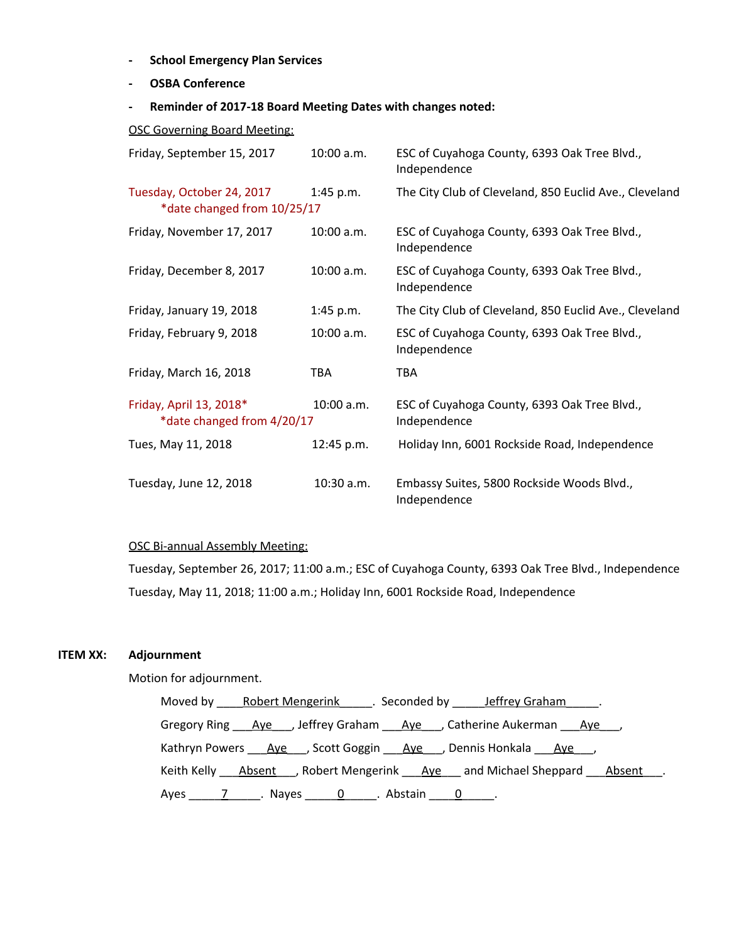- **- School Emergency Plan Services**
- **- OSBA Conference**
- **- Reminder of 2017-18 Board Meeting Dates with changes noted:**

OSC Governing Board Meeting:

| Friday, September 15, 2017                               | $10:00$ a.m. | ESC of Cuyahoga County, 6393 Oak Tree Blvd.,<br>Independence |
|----------------------------------------------------------|--------------|--------------------------------------------------------------|
| Tuesday, October 24, 2017<br>*date changed from 10/25/17 | $1:45$ p.m.  | The City Club of Cleveland, 850 Euclid Ave., Cleveland       |
| Friday, November 17, 2017                                | 10:00 a.m.   | ESC of Cuyahoga County, 6393 Oak Tree Blvd.,<br>Independence |
| Friday, December 8, 2017                                 | 10:00 a.m.   | ESC of Cuyahoga County, 6393 Oak Tree Blvd.,<br>Independence |
| Friday, January 19, 2018                                 | $1:45$ p.m.  | The City Club of Cleveland, 850 Euclid Ave., Cleveland       |
| Friday, February 9, 2018                                 | 10:00 a.m.   | ESC of Cuyahoga County, 6393 Oak Tree Blvd.,<br>Independence |
| Friday, March 16, 2018                                   | TBA          | <b>TBA</b>                                                   |
| Friday, April 13, 2018*<br>*date changed from 4/20/17    | 10:00 a.m.   | ESC of Cuyahoga County, 6393 Oak Tree Blvd.,<br>Independence |
| Tues, May 11, 2018                                       | 12:45 p.m.   | Holiday Inn, 6001 Rockside Road, Independence                |
| Tuesday, June 12, 2018                                   | 10:30 a.m.   | Embassy Suites, 5800 Rockside Woods Blvd.,<br>Independence   |

# OSC Bi-annual Assembly Meeting:

Tuesday, September 26, 2017; 11:00 a.m.; ESC of Cuyahoga County, 6393 Oak Tree Blvd., Independence Tuesday, May 11, 2018; 11:00 a.m.; Holiday Inn, 6001 Rockside Road, Independence

## **ITEM XX: Adjournment**

Motion for adjournment.

Moved by \_\_\_\_Robert Mengerink\_\_\_\_\_. Seconded by \_\_\_\_\_Jeffrey Graham\_\_\_\_\_. Gregory Ring \_\_\_<u>Aye</u> \_\_\_, Jeffrey Graham \_\_\_\_<u>Aye</u> \_\_\_, Catherine Aukerman \_\_\_\_<u>Aye</u> \_\_\_, Kathryn Powers \_\_\_\_Aye\_\_\_, Scott Goggin \_\_\_\_Aye\_\_\_, Dennis Honkala \_\_\_Aye\_\_\_, Keith Kelly \_\_\_Absent \_\_\_, Robert Mengerink \_\_\_\_Aye \_\_\_ and Michael Sheppard \_\_\_\_Absent \_\_\_. Ayes \_\_\_\_\_7\_\_\_\_\_. Nayes \_\_\_\_\_0\_\_\_\_\_. Abstain \_\_\_\_0\_\_\_\_\_.